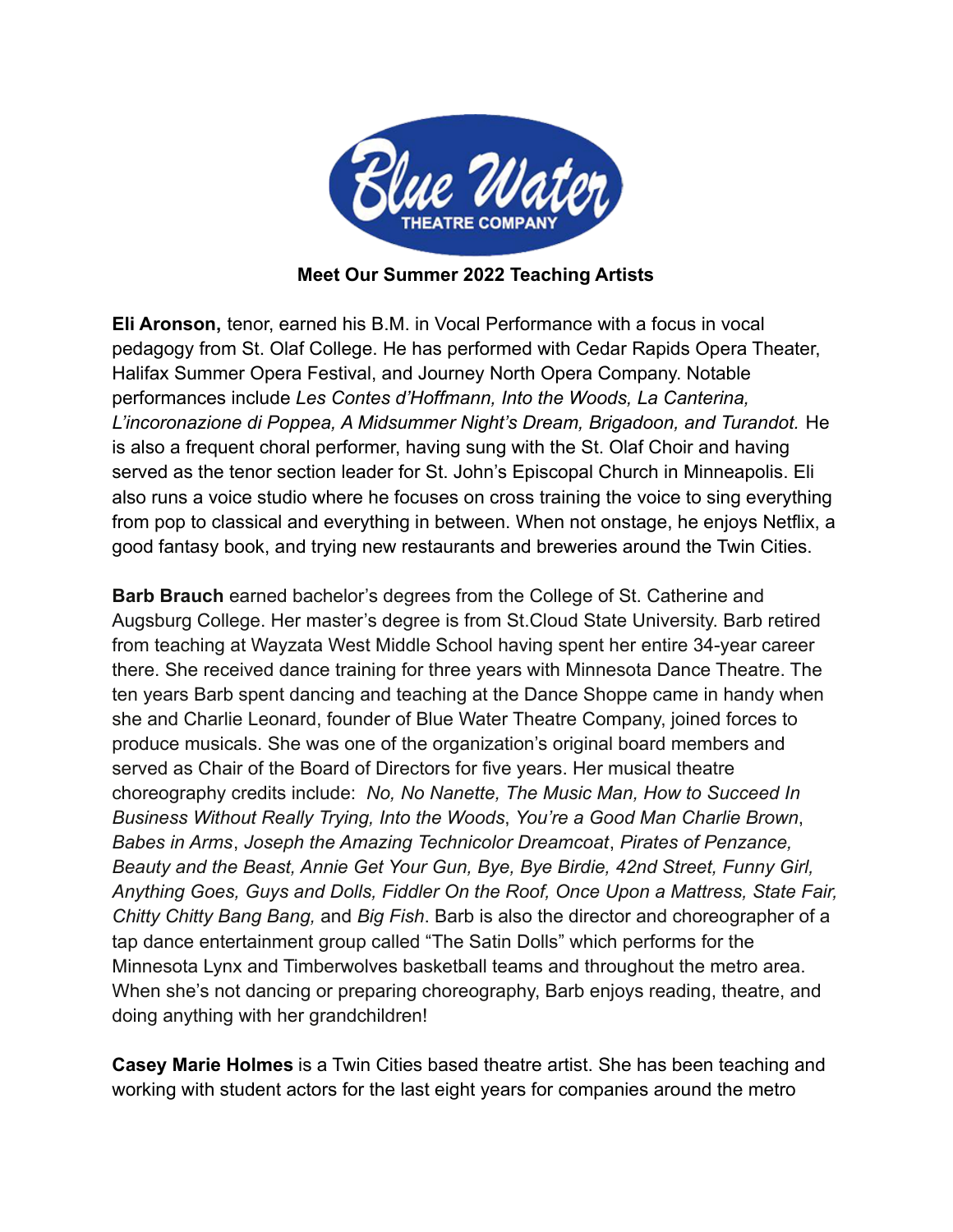

## **Meet Our Summer 2022 Teaching Artists**

**Eli Aronson,** tenor, earned his B.M. in Vocal Performance with a focus in vocal pedagogy from St. Olaf College. He has performed with Cedar Rapids Opera Theater, Halifax Summer Opera Festival, and Journey North Opera Company. Notable performances include *Les Contes d'Hoffmann, Into the Woods, La Canterina, L'incoronazione di Poppea, A Midsummer Night's Dream, Brigadoon, and Turandot.* He is also a frequent choral performer, having sung with the St. Olaf Choir and having served as the tenor section leader for St. John's Episcopal Church in Minneapolis. Eli also runs a voice studio where he focuses on cross training the voice to sing everything from pop to classical and everything in between. When not onstage, he enjoys Netflix, a good fantasy book, and trying new restaurants and breweries around the Twin Cities.

**Barb Brauch** earned bachelor's degrees from the College of St. Catherine and Augsburg College. Her master's degree is from St.Cloud State University. Barb retired from teaching at Wayzata West Middle School having spent her entire 34-year career there. She received dance training for three years with Minnesota Dance Theatre. The ten years Barb spent dancing and teaching at the Dance Shoppe came in handy when she and Charlie Leonard, founder of Blue Water Theatre Company, joined forces to produce musicals. She was one of the organization's original board members and served as Chair of the Board of Directors for five years. Her musical theatre choreography credits include: *No, No Nanette, The Music Man, How to Succeed In Business Without Really Trying, Into the Woods*, *You're a Good Man Charlie Brown*, *Babes in Arms*, *Joseph the Amazing Technicolor Dreamcoat*, *Pirates of Penzance, Beauty and the Beast, Annie Get Your Gun, Bye, Bye Birdie, 42nd Street, Funny Girl, Anything Goes, Guys and Dolls, Fiddler On the Roof, Once Upon a Mattress, State Fair, Chitty Chitty Bang Bang,* and *Big Fish*. Barb is also the director and choreographer of a tap dance entertainment group called "The Satin Dolls" which performs for the Minnesota Lynx and Timberwolves basketball teams and throughout the metro area. When she's not dancing or preparing choreography, Barb enjoys reading, theatre, and doing anything with her grandchildren!

**Casey Marie Holmes** is a Twin Cities based theatre artist. She has been teaching and working with student actors for the last eight years for companies around the metro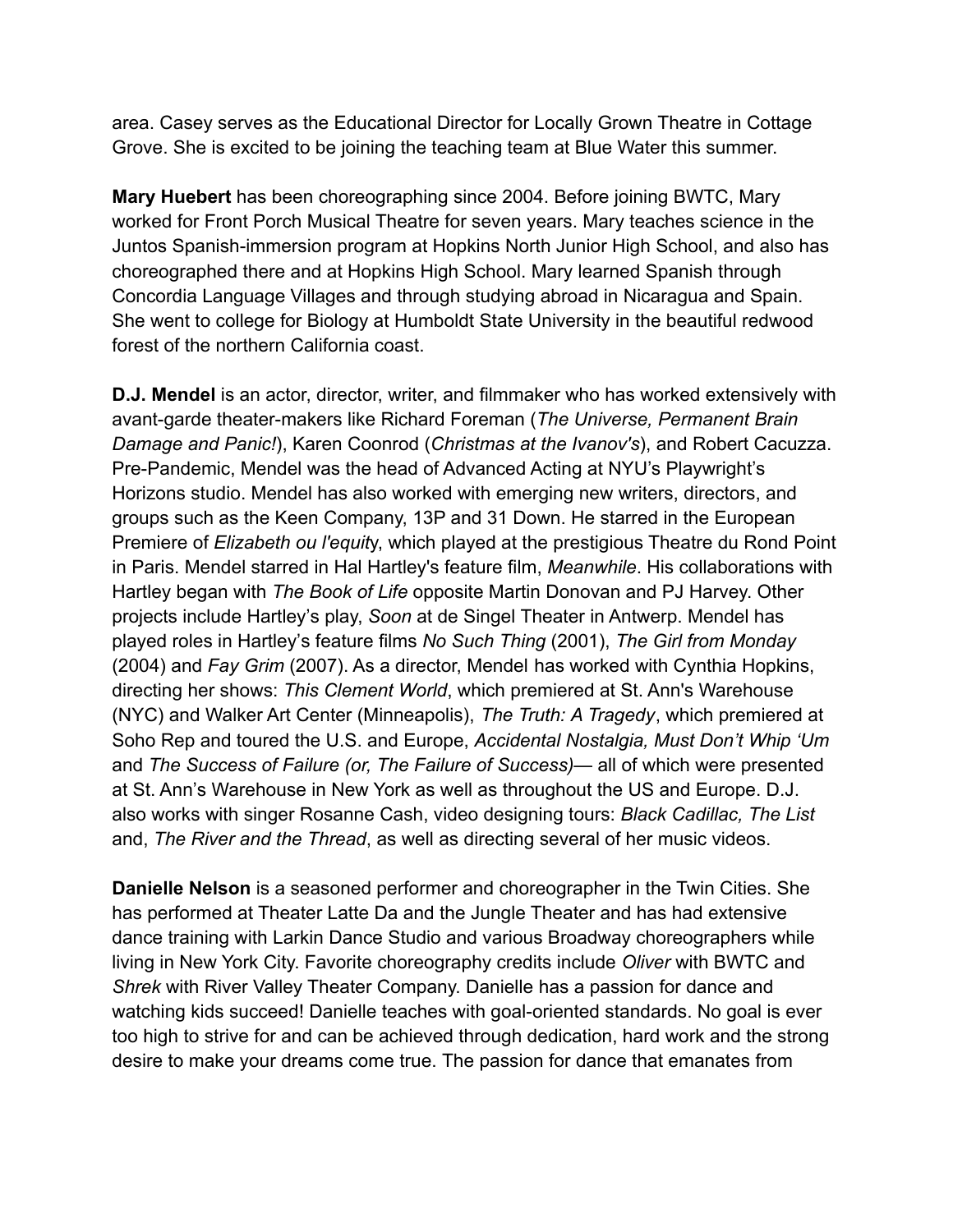area. Casey serves as the Educational Director for Locally Grown Theatre in Cottage Grove. She is excited to be joining the teaching team at Blue Water this summer.

**Mary Huebert** has been choreographing since 2004. Before joining BWTC, Mary worked for Front Porch Musical Theatre for seven years. Mary teaches science in the Juntos Spanish-immersion program at Hopkins North Junior High School, and also has choreographed there and at Hopkins High School. Mary learned Spanish through Concordia Language Villages and through studying abroad in Nicaragua and Spain. She went to college for Biology at Humboldt State University in the beautiful redwood forest of the northern California coast.

**D.J. Mendel** is an actor, director, writer, and filmmaker who has worked extensively with avant-garde theater-makers like Richard Foreman (*The Universe, Permanent Brain Damage and Panic!*), Karen Coonrod (*Christmas at the Ivanov's*), and Robert Cacuzza. Pre-Pandemic, Mendel was the head of Advanced Acting at NYU's Playwright's Horizons studio. Mendel has also worked with emerging new writers, directors, and groups such as the Keen Company, 13P and 31 Down. He starred in the European Premiere of *Elizabeth ou l'equit*y, which played at the prestigious Theatre du Rond Point in Paris. Mendel starred in Hal Hartley's feature film, *Meanwhile*. His collaborations with Hartley began with *The Book of Life* opposite Martin Donovan and PJ Harvey. Other projects include Hartley's play, *Soon* at de Singel Theater in Antwerp. Mendel has played roles in Hartley's feature films *No Such Thing* (2001), *The Girl from Monday* (2004) and *Fay Grim* (2007). As a director, Mendel has worked with Cynthia Hopkins, directing her shows: *This Clement World*, which premiered at St. Ann's Warehouse (NYC) and Walker Art Center (Minneapolis), *The Truth: A Tragedy*, which premiered at Soho Rep and toured the U.S. and Europe, *Accidental Nostalgia, Must Don't Whip ʻUm* and *The Success of Failure (or, The Failure of Success)*— all of which were presented at St. Ann's Warehouse in New York as well as throughout the US and Europe. D.J. also works with singer Rosanne Cash, video designing tours: *Black Cadillac, The List* and, *The River and the Thread*, as well as directing several of her music videos.

**Danielle Nelson** is a seasoned performer and choreographer in the Twin Cities. She has performed at Theater Latte Da and the Jungle Theater and has had extensive dance training with Larkin Dance Studio and various Broadway choreographers while living in New York City. Favorite choreography credits include *Oliver* with BWTC and *Shrek* with River Valley Theater Company. Danielle has a passion for dance and watching kids succeed! Danielle teaches with goal-oriented standards. No goal is ever too high to strive for and can be achieved through dedication, hard work and the strong desire to make your dreams come true. The passion for dance that emanates from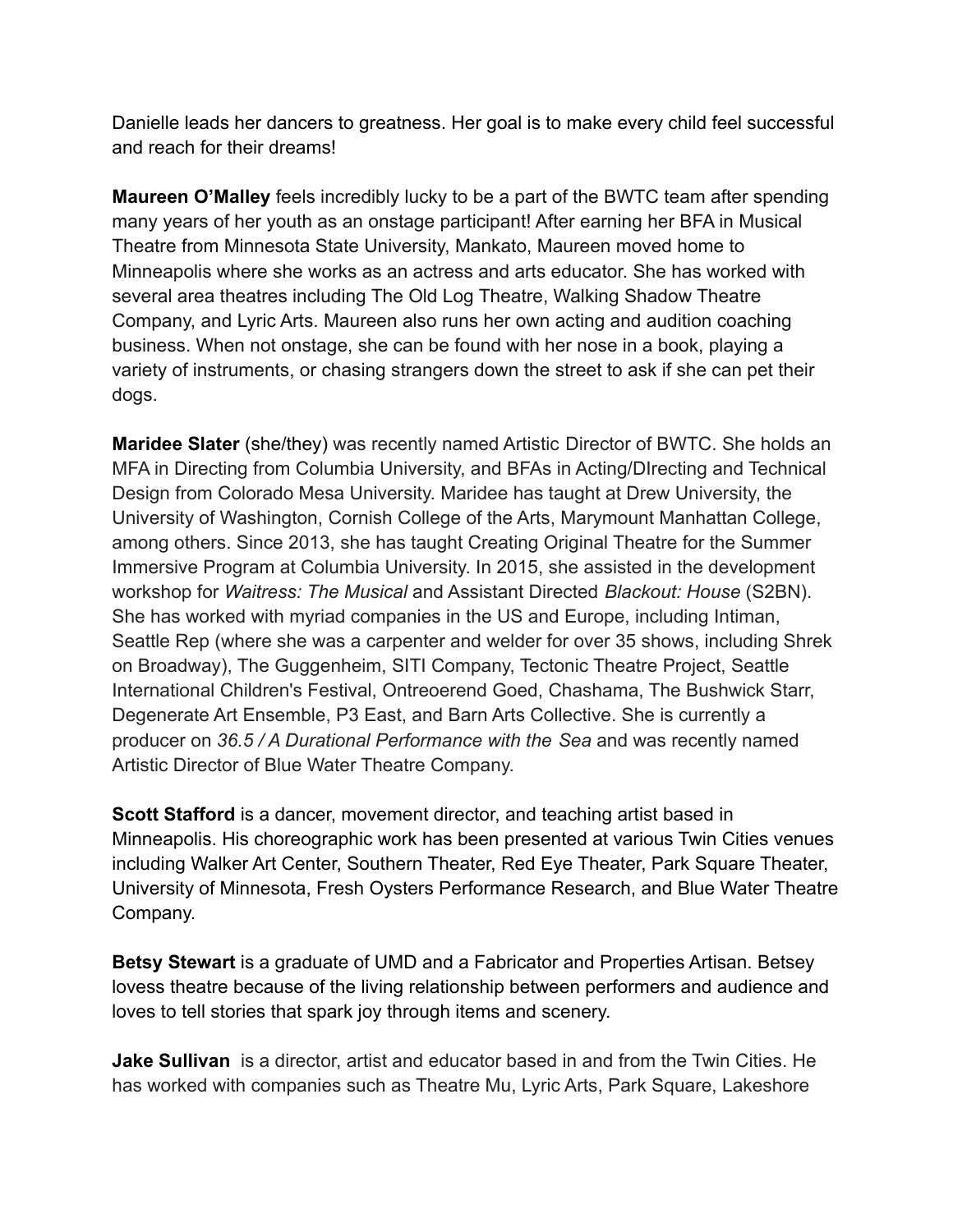Danielle leads her dancers to greatness. Her goal is to make every child feel successful and reach for their dreams!

**Maureen O'Malley** feels incredibly lucky to be a part of the BWTC team after spending many years of her youth as an onstage participant! After earning her BFA in Musical Theatre from Minnesota State University, Mankato, Maureen moved home to Minneapolis where she works as an actress and arts educator. She has worked with several area theatres including The Old Log Theatre, Walking Shadow Theatre Company, and Lyric Arts. Maureen also runs her own acting and audition coaching business. When not onstage, she can be found with her nose in a book, playing a variety of instruments, or chasing strangers down the street to ask if she can pet their dogs.

**Maridee Slater** (she/they) was recently named Artistic Director of BWTC. She holds an MFA in Directing from Columbia University, and BFAs in Acting/DIrecting and Technical Design from Colorado Mesa University. Maridee has taught at Drew University, the University of Washington, Cornish College of the Arts, Marymount Manhattan College, among others. Since 2013, she has taught Creating Original Theatre for the Summer Immersive Program at Columbia University. In 2015, she assisted in the development workshop for *Waitress: The Musical* and Assistant Directed *Blackout: House* (S2BN). She has worked with myriad companies in the US and Europe, including Intiman, Seattle Rep (where she was a carpenter and welder for over 35 shows, including Shrek on Broadway), The Guggenheim, SITI Company, Tectonic Theatre Project, Seattle International Children's Festival, Ontreoerend Goed, Chashama, The Bushwick Starr, Degenerate Art Ensemble, P3 East, and Barn Arts Collective. She is currently a producer on *36.5 / A Durational Performance with the Sea* and was recently named Artistic Director of Blue Water Theatre Company.

**Scott Stafford** is a dancer, movement director, and teaching artist based in Minneapolis. His choreographic work has been presented at various Twin Cities venues including Walker Art Center, Southern Theater, Red Eye Theater, Park Square Theater, University of Minnesota, Fresh Oysters Performance Research, and Blue Water Theatre Company.

**Betsy Stewart** is a graduate of UMD and a Fabricator and Properties Artisan. Betsey lovess theatre because of the living relationship between performers and audience and loves to tell stories that spark joy through items and scenery.

**Jake Sullivan** is a director, artist and educator based in and from the Twin Cities. He has worked with companies such as Theatre Mu, Lyric Arts, Park Square, Lakeshore